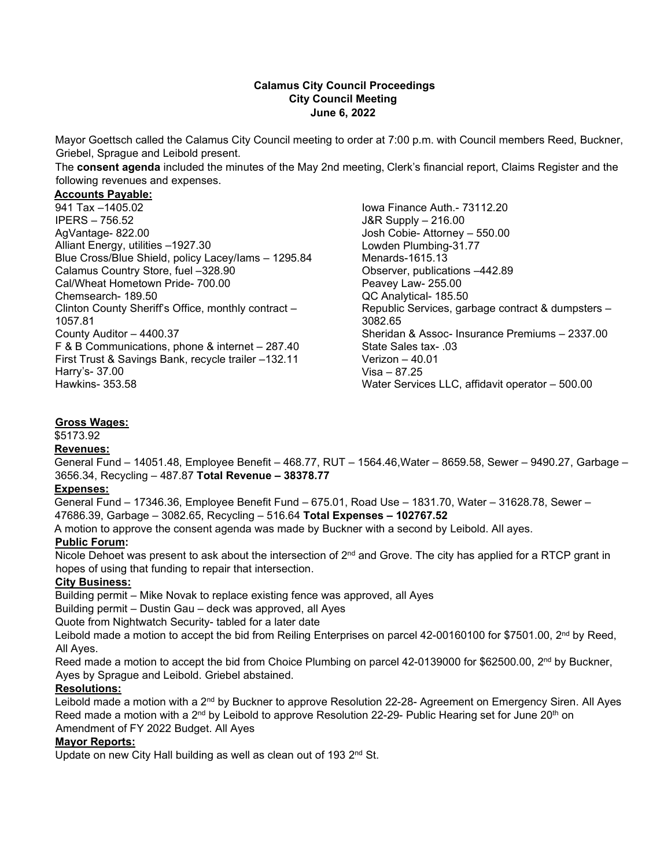#### **Calamus City Council Proceedings City Council Meeting June 6, 2022**

Mayor Goettsch called the Calamus City Council meeting to order at 7:00 p.m. with Council members Reed, Buckner, Griebel, Sprague and Leibold present.

The **consent agenda** included the minutes of the May 2nd meeting, Clerk's financial report, Claims Register and the following revenues and expenses.

# **Accounts Payable:**

941 Tax –1405.02 IPERS – 756.52 AgVantage- 822.00 Alliant Energy, utilities –1927.30 Blue Cross/Blue Shield, policy Lacey/Iams – 1295.84 Calamus Country Store, fuel –328.90 Cal/Wheat Hometown Pride- 700.00 Chemsearch- 189.50 Clinton County Sheriff's Office, monthly contract – 1057.81 County Auditor – 4400.37 F & B Communications, phone & internet – 287.40 First Trust & Savings Bank, recycle trailer –132.11 Harry's- 37.00 Hawkins- 353.58

Iowa Finance Auth.- 73112.20 J&R Supply – 216.00 Josh Cobie- Attorney – 550.00 Lowden Plumbing-31.77 Menards-1615.13 Observer, publications –442.89 Peavey Law- 255.00 QC Analytical- 185.50 Republic Services, garbage contract & dumpsters – 3082.65 Sheridan & Assoc- Insurance Premiums – 2337.00 State Sales tax- .03 Verizon – 40.01 Visa – 87.25 Water Services LLC, affidavit operator – 500.00

#### **Gross Wages:**

\$5173.92

#### **Revenues:**

General Fund – 14051.48, Employee Benefit – 468.77, RUT – 1564.46,Water – 8659.58, Sewer – 9490.27, Garbage – 3656.34, Recycling – 487.87 **Total Revenue – 38378.77**

#### **Expenses:**

General Fund – 17346.36, Employee Benefit Fund – 675.01, Road Use – 1831.70, Water – 31628.78, Sewer – 47686.39, Garbage – 3082.65, Recycling – 516.64 **Total Expenses – 102767.52**

A motion to approve the consent agenda was made by Buckner with a second by Leibold. All ayes.

### **Public Forum:**

Nicole Dehoet was present to ask about the intersection of  $2^{nd}$  and Grove. The city has applied for a RTCP grant in hopes of using that funding to repair that intersection.

#### **City Business:**

Building permit – Mike Novak to replace existing fence was approved, all Ayes

Building permit – Dustin Gau – deck was approved, all Ayes

Quote from Nightwatch Security- tabled for a later date

Leibold made a motion to accept the bid from Reiling Enterprises on parcel 42-00160100 for \$7501.00, 2<sup>nd</sup> by Reed, All Ayes.

Reed made a motion to accept the bid from Choice Plumbing on parcel 42-0139000 for \$62500.00, 2<sup>nd</sup> by Buckner, Ayes by Sprague and Leibold. Griebel abstained.

#### **Resolutions:**

Leibold made a motion with a 2<sup>nd</sup> by Buckner to approve Resolution 22-28- Agreement on Emergency Siren. All Ayes Reed made a motion with a 2<sup>nd</sup> by Leibold to approve Resolution 22-29- Public Hearing set for June 20<sup>th</sup> on Amendment of FY 2022 Budget. All Ayes

# **Mayor Reports:**

Update on new City Hall building as well as clean out of 193  $2<sup>nd</sup>$  St.